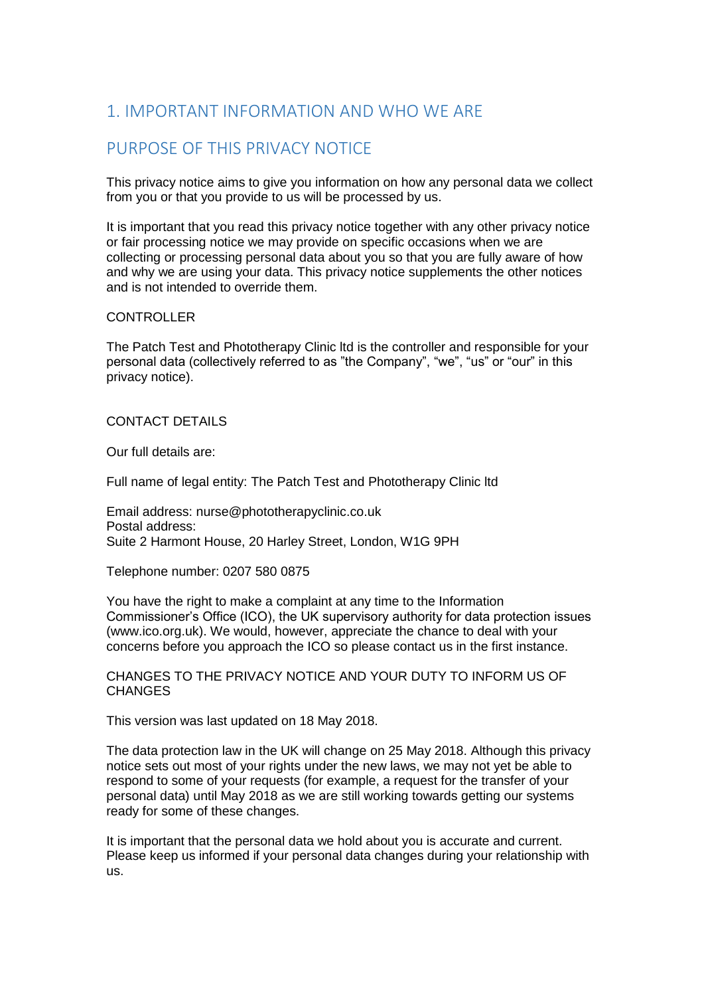# 1. IMPORTANT INFORMATION AND WHO WE ARE

# PURPOSE OF THIS PRIVACY NOTICE

This privacy notice aims to give you information on how any personal data we collect from you or that you provide to us will be processed by us.

It is important that you read this privacy notice together with any other privacy notice or fair processing notice we may provide on specific occasions when we are collecting or processing personal data about you so that you are fully aware of how and why we are using your data. This privacy notice supplements the other notices and is not intended to override them.

#### **CONTROLLER**

The Patch Test and Phototherapy Clinic ltd is the controller and responsible for your personal data (collectively referred to as "the Company", "we", "us" or "our" in this privacy notice).

#### CONTACT DETAILS

Our full details are:

Full name of legal entity: The Patch Test and Phototherapy Clinic ltd

Email address: nurse@phototherapyclinic.co.uk Postal address: Suite 2 Harmont House, 20 Harley Street, London, W1G 9PH

Telephone number: 0207 580 0875

You have the right to make a complaint at any time to the Information Commissioner's Office (ICO), the UK supervisory authority for data protection issues (www.ico.org.uk). We would, however, appreciate the chance to deal with your concerns before you approach the ICO so please contact us in the first instance.

CHANGES TO THE PRIVACY NOTICE AND YOUR DUTY TO INFORM US OF **CHANGES** 

This version was last updated on 18 May 2018.

The data protection law in the UK will change on 25 May 2018. Although this privacy notice sets out most of your rights under the new laws, we may not yet be able to respond to some of your requests (for example, a request for the transfer of your personal data) until May 2018 as we are still working towards getting our systems ready for some of these changes.

It is important that the personal data we hold about you is accurate and current. Please keep us informed if your personal data changes during your relationship with us.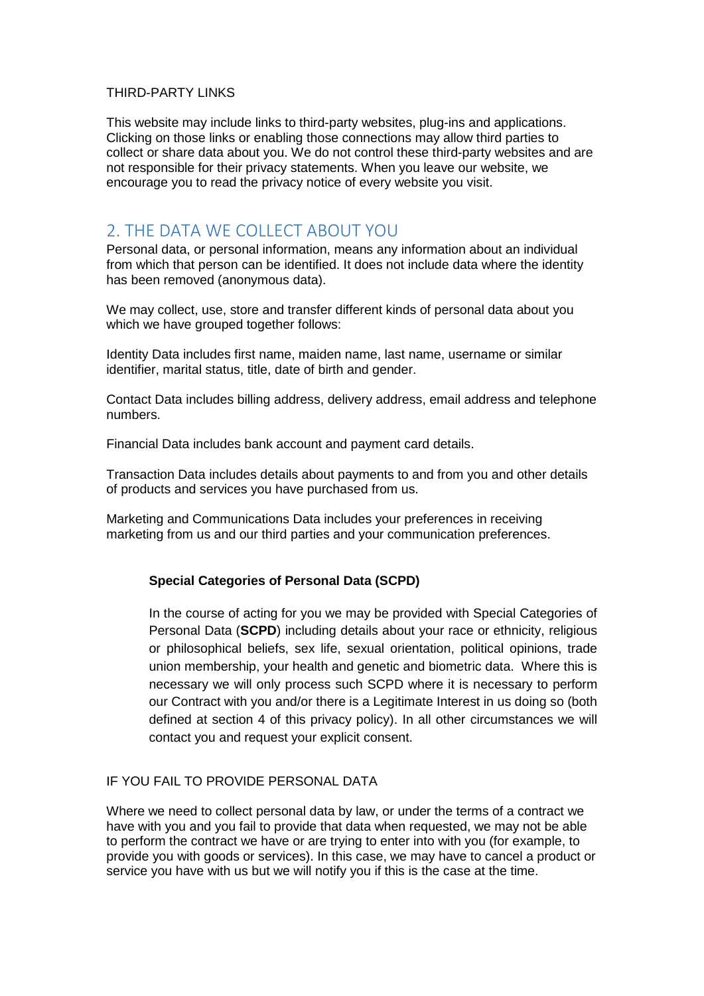#### THIRD-PARTY LINKS

This website may include links to third-party websites, plug-ins and applications. Clicking on those links or enabling those connections may allow third parties to collect or share data about you. We do not control these third-party websites and are not responsible for their privacy statements. When you leave our website, we encourage you to read the privacy notice of every website you visit.

## 2. THE DATA WE COLLECT ABOUT YOU

Personal data, or personal information, means any information about an individual from which that person can be identified. It does not include data where the identity has been removed (anonymous data).

We may collect, use, store and transfer different kinds of personal data about you which we have grouped together follows:

Identity Data includes first name, maiden name, last name, username or similar identifier, marital status, title, date of birth and gender.

Contact Data includes billing address, delivery address, email address and telephone numbers.

Financial Data includes bank account and payment card details.

Transaction Data includes details about payments to and from you and other details of products and services you have purchased from us.

Marketing and Communications Data includes your preferences in receiving marketing from us and our third parties and your communication preferences.

#### **Special Categories of Personal Data (SCPD)**

In the course of acting for you we may be provided with Special Categories of Personal Data (**SCPD**) including details about your race or ethnicity, religious or philosophical beliefs, sex life, sexual orientation, political opinions, trade union membership, your health and genetic and biometric data. Where this is necessary we will only process such SCPD where it is necessary to perform our Contract with you and/or there is a Legitimate Interest in us doing so (both defined at section 4 of this privacy policy). In all other circumstances we will contact you and request your explicit consent.

### IF YOU FAIL TO PROVIDE PERSONAL DATA

Where we need to collect personal data by law, or under the terms of a contract we have with you and you fail to provide that data when requested, we may not be able to perform the contract we have or are trying to enter into with you (for example, to provide you with goods or services). In this case, we may have to cancel a product or service you have with us but we will notify you if this is the case at the time.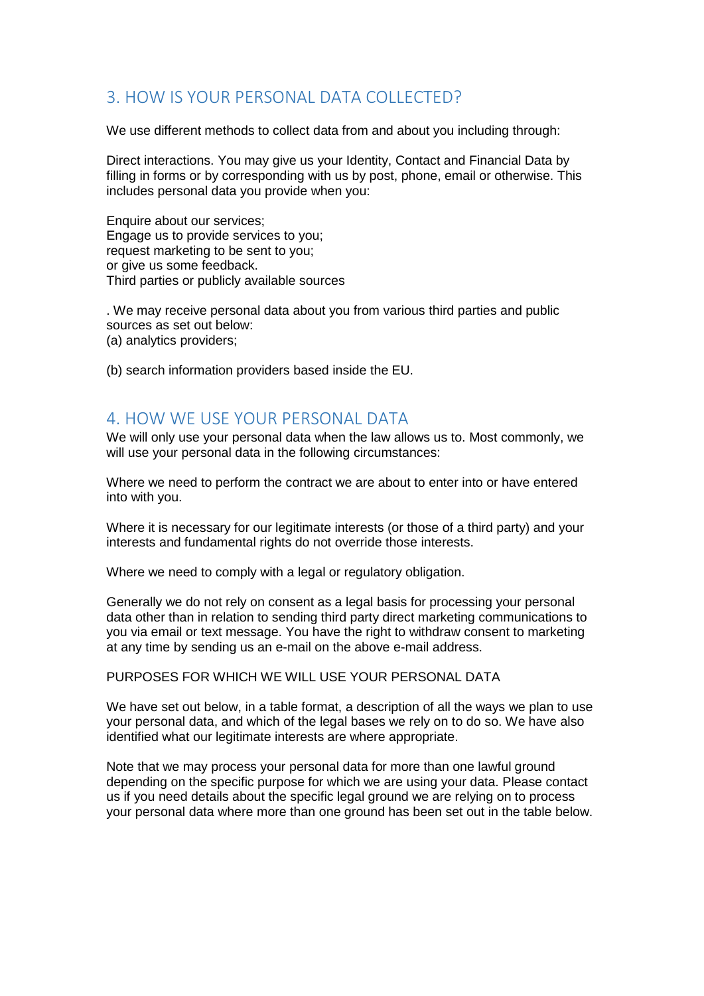# 3. HOW IS YOUR PERSONAL DATA COLLECTED?

We use different methods to collect data from and about you including through:

Direct interactions. You may give us your Identity, Contact and Financial Data by filling in forms or by corresponding with us by post, phone, email or otherwise. This includes personal data you provide when you:

Enquire about our services; Engage us to provide services to you; request marketing to be sent to you; or give us some feedback. Third parties or publicly available sources

. We may receive personal data about you from various third parties and public sources as set out below:

(a) analytics providers;

(b) search information providers based inside the EU.

### 4. HOW WE USE YOUR PERSONAL DATA

We will only use your personal data when the law allows us to. Most commonly, we will use your personal data in the following circumstances:

Where we need to perform the contract we are about to enter into or have entered into with you.

Where it is necessary for our legitimate interests (or those of a third party) and your interests and fundamental rights do not override those interests.

Where we need to comply with a legal or regulatory obligation.

Generally we do not rely on consent as a legal basis for processing your personal data other than in relation to sending third party direct marketing communications to you via email or text message. You have the right to withdraw consent to marketing at any time by sending us an e-mail on the above e-mail address.

PURPOSES FOR WHICH WE WILL USE YOUR PERSONAL DATA

We have set out below, in a table format, a description of all the ways we plan to use your personal data, and which of the legal bases we rely on to do so. We have also identified what our legitimate interests are where appropriate.

Note that we may process your personal data for more than one lawful ground depending on the specific purpose for which we are using your data. Please contact us if you need details about the specific legal ground we are relying on to process your personal data where more than one ground has been set out in the table below.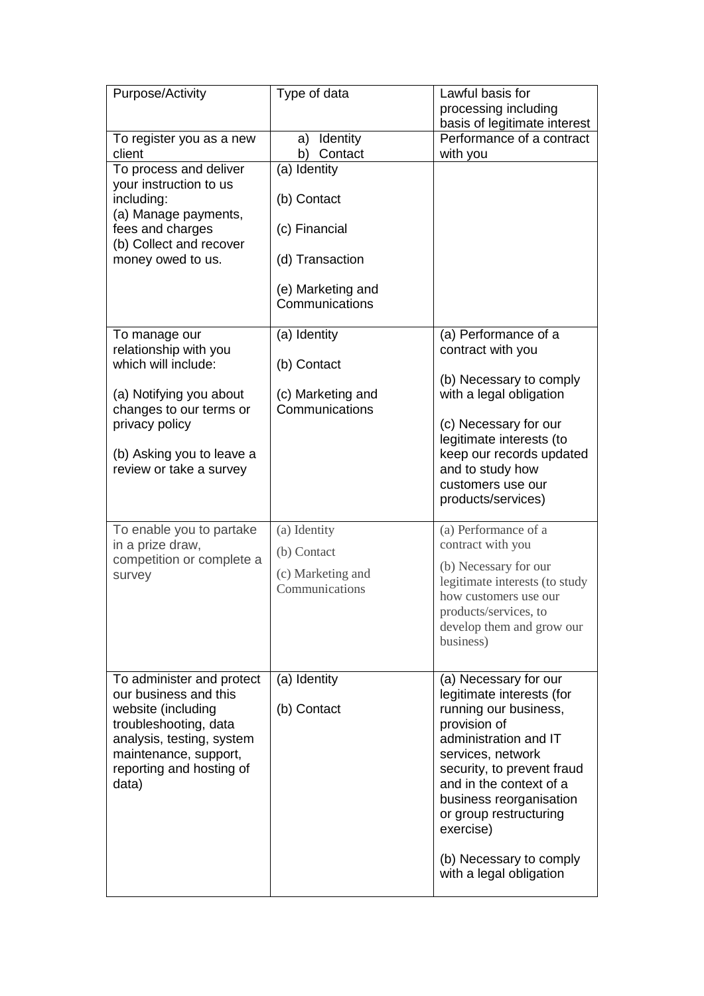| Purpose/Activity                                             | Type of data                        | Lawful basis for<br>processing including<br>basis of legitimate interest |
|--------------------------------------------------------------|-------------------------------------|--------------------------------------------------------------------------|
| To register you as a new<br>client                           | Identity<br>a)<br>b)<br>Contact     | Performance of a contract<br>with you                                    |
| To process and deliver                                       | (a) Identity                        |                                                                          |
| your instruction to us<br>including:<br>(a) Manage payments, | (b) Contact                         |                                                                          |
| fees and charges<br>(b) Collect and recover                  | (c) Financial                       |                                                                          |
| money owed to us.                                            | (d) Transaction                     |                                                                          |
|                                                              | (e) Marketing and<br>Communications |                                                                          |
| To manage our                                                | (a) Identity                        | (a) Performance of a                                                     |
| relationship with you<br>which will include:                 | (b) Contact                         | contract with you                                                        |
| (a) Notifying you about                                      | (c) Marketing and                   | (b) Necessary to comply<br>with a legal obligation                       |
| changes to our terms or<br>privacy policy                    | Communications                      | (c) Necessary for our                                                    |
|                                                              |                                     | legitimate interests (to<br>keep our records updated                     |
| (b) Asking you to leave a<br>review or take a survey         |                                     | and to study how                                                         |
|                                                              |                                     | customers use our<br>products/services)                                  |
| To enable you to partake<br>in a prize draw,                 | (a) Identity                        | (a) Performance of a                                                     |
| competition or complete a                                    | (b) Contact                         | contract with you<br>(b) Necessary for our                               |
| survey                                                       | (c) Marketing and<br>Communications | legitimate interests (to study                                           |
|                                                              |                                     | how customers use our<br>products/services, to                           |
|                                                              |                                     | develop them and grow our                                                |
|                                                              |                                     | business)                                                                |
| To administer and protect                                    | (a) Identity                        | (a) Necessary for our                                                    |
| our business and this<br>website (including                  | (b) Contact                         | legitimate interests (for<br>running our business,                       |
| troubleshooting, data                                        |                                     | provision of                                                             |
| analysis, testing, system<br>maintenance, support,           |                                     | administration and IT<br>services, network                               |
| reporting and hosting of<br>data)                            |                                     | security, to prevent fraud<br>and in the context of a                    |
|                                                              |                                     | business reorganisation                                                  |
|                                                              |                                     | or group restructuring<br>exercise)                                      |
|                                                              |                                     | (b) Necessary to comply                                                  |
|                                                              |                                     | with a legal obligation                                                  |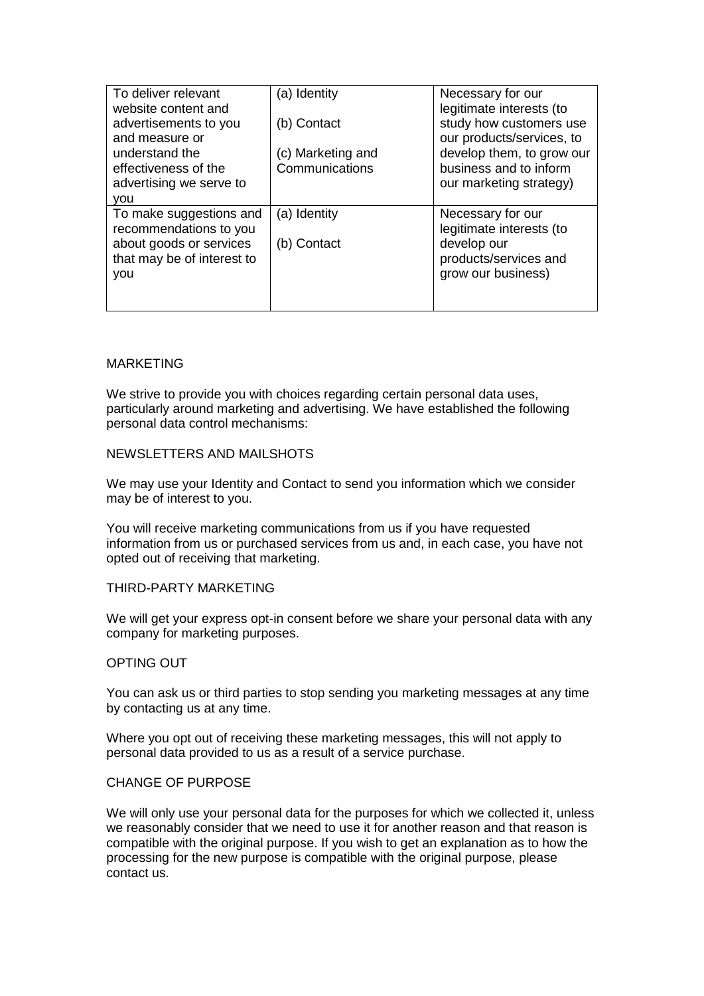| To deliver relevant        | (a) Identity      | Necessary for our         |
|----------------------------|-------------------|---------------------------|
| website content and        |                   | legitimate interests (to  |
| advertisements to you      | (b) Contact       | study how customers use   |
| and measure or             |                   | our products/services, to |
| understand the             | (c) Marketing and | develop them, to grow our |
| effectiveness of the       | Communications    | business and to inform    |
| advertising we serve to    |                   | our marketing strategy)   |
| you                        |                   |                           |
| To make suggestions and    | (a) Identity      | Necessary for our         |
| recommendations to you     |                   | legitimate interests (to  |
| about goods or services    | (b) Contact       | develop our               |
| that may be of interest to |                   | products/services and     |
| you                        |                   | grow our business)        |
|                            |                   |                           |
|                            |                   |                           |

#### MARKETING

We strive to provide you with choices regarding certain personal data uses, particularly around marketing and advertising. We have established the following personal data control mechanisms:

#### NEWSLETTERS AND MAILSHOTS

We may use your Identity and Contact to send you information which we consider may be of interest to you.

You will receive marketing communications from us if you have requested information from us or purchased services from us and, in each case, you have not opted out of receiving that marketing.

#### THIRD-PARTY MARKETING

We will get your express opt-in consent before we share your personal data with any company for marketing purposes.

#### OPTING OUT

You can ask us or third parties to stop sending you marketing messages at any time by contacting us at any time.

Where you opt out of receiving these marketing messages, this will not apply to personal data provided to us as a result of a service purchase.

#### CHANGE OF PURPOSE

We will only use your personal data for the purposes for which we collected it, unless we reasonably consider that we need to use it for another reason and that reason is compatible with the original purpose. If you wish to get an explanation as to how the processing for the new purpose is compatible with the original purpose, please contact us.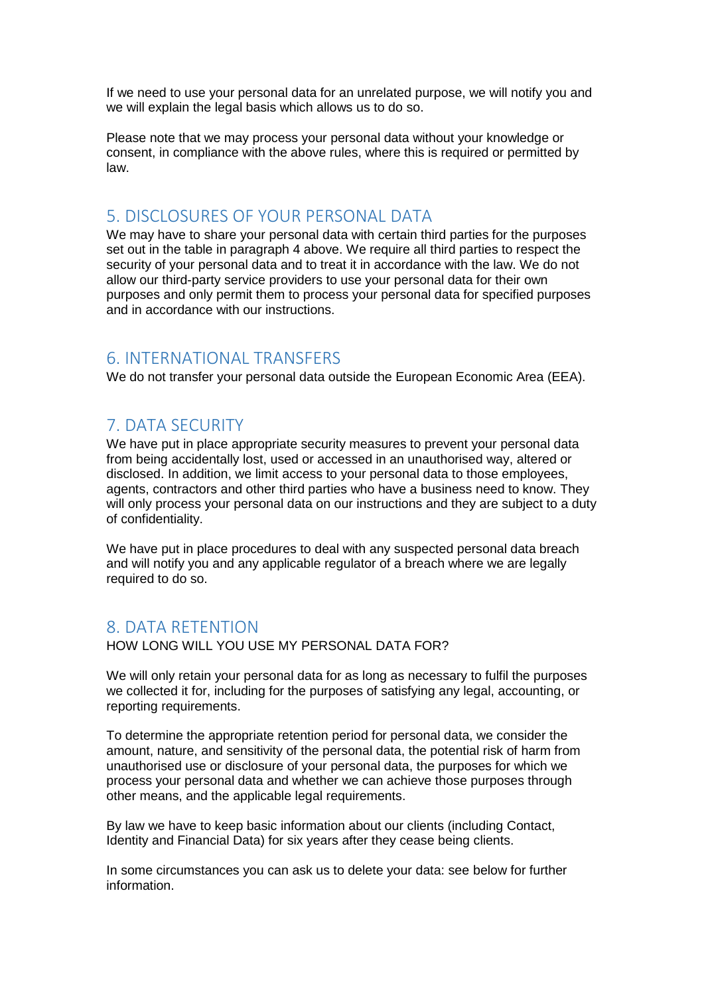If we need to use your personal data for an unrelated purpose, we will notify you and we will explain the legal basis which allows us to do so.

Please note that we may process your personal data without your knowledge or consent, in compliance with the above rules, where this is required or permitted by law.

## 5. DISCLOSURES OF YOUR PERSONAL DATA

We may have to share your personal data with certain third parties for the purposes set out in the table in paragraph 4 above. We require all third parties to respect the security of your personal data and to treat it in accordance with the law. We do not allow our third-party service providers to use your personal data for their own purposes and only permit them to process your personal data for specified purposes and in accordance with our instructions.

## 6. INTERNATIONAL TRANSFERS

We do not transfer your personal data outside the European Economic Area (EEA).

## 7. DATA SECURITY

We have put in place appropriate security measures to prevent your personal data from being accidentally lost, used or accessed in an unauthorised way, altered or disclosed. In addition, we limit access to your personal data to those employees, agents, contractors and other third parties who have a business need to know. They will only process your personal data on our instructions and they are subject to a duty of confidentiality.

We have put in place procedures to deal with any suspected personal data breach and will notify you and any applicable regulator of a breach where we are legally required to do so.

### 8. DATA RETENTION

HOW LONG WILL YOU USE MY PERSONAL DATA FOR?

We will only retain your personal data for as long as necessary to fulfil the purposes we collected it for, including for the purposes of satisfying any legal, accounting, or reporting requirements.

To determine the appropriate retention period for personal data, we consider the amount, nature, and sensitivity of the personal data, the potential risk of harm from unauthorised use or disclosure of your personal data, the purposes for which we process your personal data and whether we can achieve those purposes through other means, and the applicable legal requirements.

By law we have to keep basic information about our clients (including Contact, Identity and Financial Data) for six years after they cease being clients.

In some circumstances you can ask us to delete your data: see below for further information.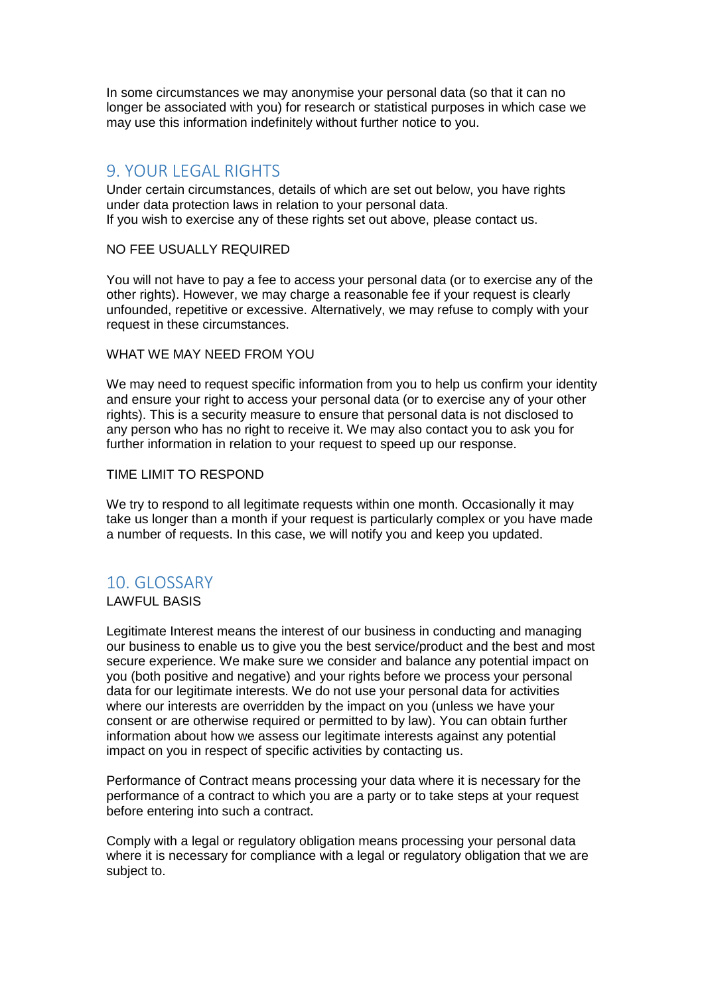In some circumstances we may anonymise your personal data (so that it can no longer be associated with you) for research or statistical purposes in which case we may use this information indefinitely without further notice to you.

## 9. YOUR LEGAL RIGHTS

Under certain circumstances, details of which are set out below, you have rights under data protection laws in relation to your personal data. If you wish to exercise any of these rights set out above, please contact us.

NO FEE USUALLY REQUIRED

You will not have to pay a fee to access your personal data (or to exercise any of the other rights). However, we may charge a reasonable fee if your request is clearly unfounded, repetitive or excessive. Alternatively, we may refuse to comply with your request in these circumstances.

WHAT WE MAY NEED FROM YOU

We may need to request specific information from you to help us confirm your identity and ensure your right to access your personal data (or to exercise any of your other rights). This is a security measure to ensure that personal data is not disclosed to any person who has no right to receive it. We may also contact you to ask you for further information in relation to your request to speed up our response.

#### TIME LIMIT TO RESPOND

We try to respond to all legitimate requests within one month. Occasionally it may take us longer than a month if your request is particularly complex or you have made a number of requests. In this case, we will notify you and keep you updated.

# 10. GLOSSARY

### LAWFUL BASIS

Legitimate Interest means the interest of our business in conducting and managing our business to enable us to give you the best service/product and the best and most secure experience. We make sure we consider and balance any potential impact on you (both positive and negative) and your rights before we process your personal data for our legitimate interests. We do not use your personal data for activities where our interests are overridden by the impact on you (unless we have your consent or are otherwise required or permitted to by law). You can obtain further information about how we assess our legitimate interests against any potential impact on you in respect of specific activities by contacting us.

Performance of Contract means processing your data where it is necessary for the performance of a contract to which you are a party or to take steps at your request before entering into such a contract.

Comply with a legal or regulatory obligation means processing your personal data where it is necessary for compliance with a legal or regulatory obligation that we are subject to.